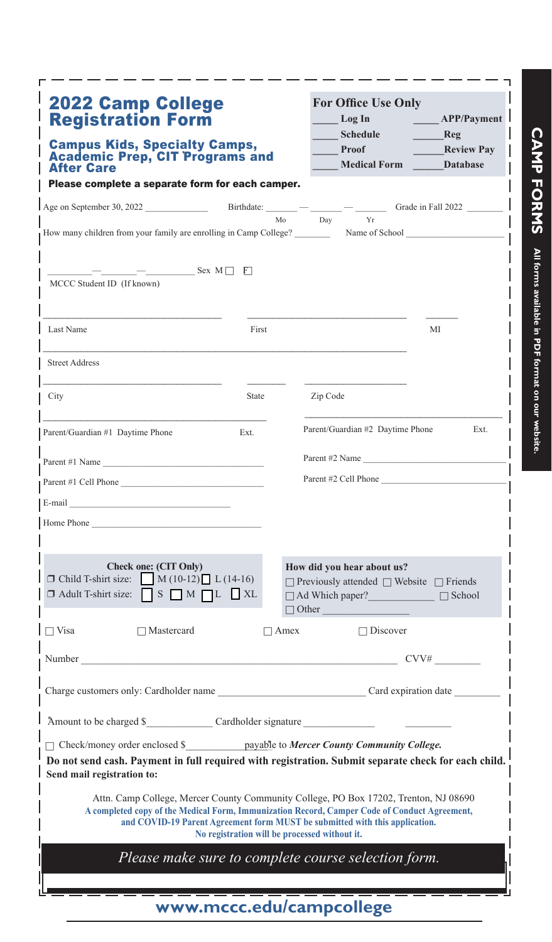| <b>2022 Camp College</b><br><b>Registration Form</b><br><b>Campus Kids, Specialty Camps,</b><br><b>Academic Prep, CIT Programs and</b><br><b>After Care</b>                                                                    |                                   | <b>For Office Use Only</b><br>Log In<br><b>Schedule</b><br>Proof<br><b>Medical Form</b>                                                                                                                                                                                                                              | APP/Payment I<br>Reg<br><b>Review Pay</b><br><b>Database</b> |
|--------------------------------------------------------------------------------------------------------------------------------------------------------------------------------------------------------------------------------|-----------------------------------|----------------------------------------------------------------------------------------------------------------------------------------------------------------------------------------------------------------------------------------------------------------------------------------------------------------------|--------------------------------------------------------------|
| Please complete a separate form for each camper.                                                                                                                                                                               |                                   |                                                                                                                                                                                                                                                                                                                      |                                                              |
|                                                                                                                                                                                                                                |                                   | Mo<br>Day<br>Yr                                                                                                                                                                                                                                                                                                      |                                                              |
| How many children from your family are enrolling in Camp College?                                                                                                                                                              |                                   |                                                                                                                                                                                                                                                                                                                      | Name of School _                                             |
| $-$ Sex M $\Box$ F<br>MCCC Student ID (If known)                                                                                                                                                                               |                                   |                                                                                                                                                                                                                                                                                                                      |                                                              |
| Last Name                                                                                                                                                                                                                      | First                             |                                                                                                                                                                                                                                                                                                                      | МI                                                           |
| <b>Street Address</b>                                                                                                                                                                                                          |                                   |                                                                                                                                                                                                                                                                                                                      |                                                              |
| City                                                                                                                                                                                                                           | State                             | Zip Code                                                                                                                                                                                                                                                                                                             |                                                              |
| Parent/Guardian #1 Daytime Phone                                                                                                                                                                                               | Ext.                              | Parent/Guardian #2 Daytime Phone                                                                                                                                                                                                                                                                                     | Ext.                                                         |
| Parent #1 Name                                                                                                                                                                                                                 |                                   | Parent #2 Name                                                                                                                                                                                                                                                                                                       |                                                              |
| Parent #1 Cell Phone                                                                                                                                                                                                           |                                   | Parent #2 Cell Phone                                                                                                                                                                                                                                                                                                 |                                                              |
|                                                                                                                                                                                                                                |                                   |                                                                                                                                                                                                                                                                                                                      |                                                              |
| Home Phone                                                                                                                                                                                                                     |                                   |                                                                                                                                                                                                                                                                                                                      |                                                              |
|                                                                                                                                                                                                                                |                                   |                                                                                                                                                                                                                                                                                                                      |                                                              |
| Check one: (CIT Only)<br>$\Box$ Child T-shirt size: $\Box$ M (10-12) $\Box$ L (14-16)<br>$\Box$ Adult T-shirt size:                                                                                                            | $S \cap M \cap L \cup X$          | How did you hear about us?<br>$\Box$ Previously attended $\Box$ Website $\Box$ Friends<br>$\Box$ Ad Which paper? $\Box$ School                                                                                                                                                                                       |                                                              |
|                                                                                                                                                                                                                                |                                   | $\Box$ Other                                                                                                                                                                                                                                                                                                         |                                                              |
| $\Box$ Visa<br>$\Box$ Mastercard                                                                                                                                                                                               |                                   | $\Box$ Discover<br>$\Box$ Amex                                                                                                                                                                                                                                                                                       |                                                              |
| Number                                                                                                                                                                                                                         | <b>Contract Contract Contract</b> |                                                                                                                                                                                                                                                                                                                      | CVV#                                                         |
| Charge customers only: Cardholder name Carol and Caroline Caroline Caroline Caroline Caroline Caroline Caroline Caroline Caroline Caroline Caroline Caroline Caroline Caroline Caroline Caroline Caroline Caroline Caroline Ca |                                   |                                                                                                                                                                                                                                                                                                                      |                                                              |
|                                                                                                                                                                                                                                |                                   |                                                                                                                                                                                                                                                                                                                      |                                                              |
| □ Check/money order enclosed \$ _________ payable to Mercer County Community College.                                                                                                                                          |                                   |                                                                                                                                                                                                                                                                                                                      |                                                              |
| Do not send cash. Payment in full required with registration. Submit separate check for each child.<br>Send mail registration to:                                                                                              |                                   |                                                                                                                                                                                                                                                                                                                      |                                                              |
|                                                                                                                                                                                                                                |                                   | Attn. Camp College, Mercer County Community College, PO Box 17202, Trenton, NJ 08690<br>A completed copy of the Medical Form, Immunization Record, Camper Code of Conduct Agreement,<br>and COVID-19 Parent Agreement form MUST be submitted with this application.<br>No registration will be processed without it. |                                                              |
|                                                                                                                                                                                                                                |                                   | Please make sure to complete course selection form.                                                                                                                                                                                                                                                                  |                                                              |
|                                                                                                                                                                                                                                |                                   |                                                                                                                                                                                                                                                                                                                      |                                                              |

**CAMP FORMS** All forms available in PDF format on our website. **CAMP FORMS All forms available in PDF format on our website.**